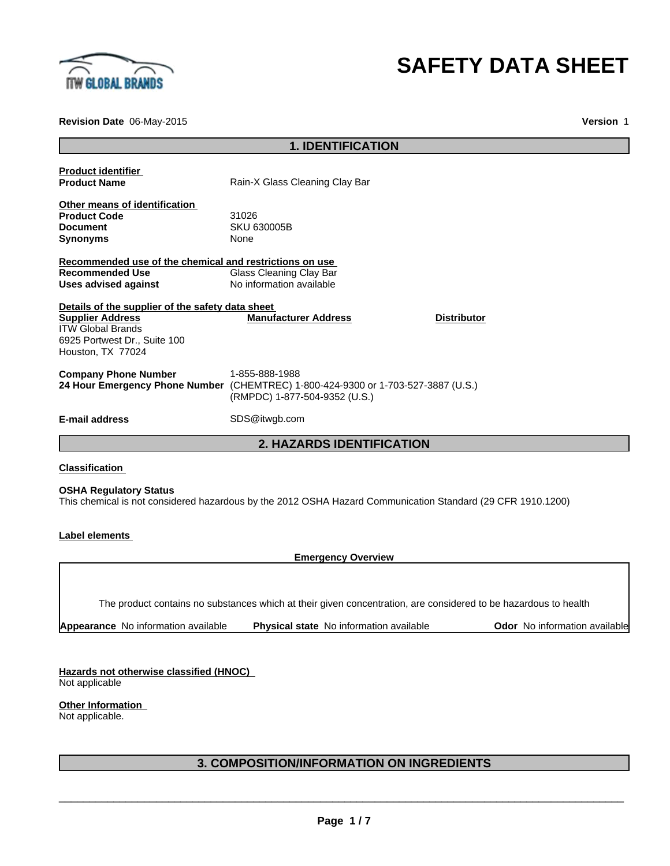

# **SAFETY DATA SHEET**

**Revision Date** 06-May-2015

**Version** 1

| <b>1. IDENTIFICATION</b>                                                                                                                                     |                                                                                                       |                    |
|--------------------------------------------------------------------------------------------------------------------------------------------------------------|-------------------------------------------------------------------------------------------------------|--------------------|
| <b>Product identifier</b><br><b>Product Name</b>                                                                                                             | Rain-X Glass Cleaning Clay Bar                                                                        |                    |
| Other means of identification<br><b>Product Code</b><br><b>Document</b><br><b>Synonyms</b>                                                                   | 31026<br><b>SKU 630005B</b><br>None                                                                   |                    |
| Recommended use of the chemical and restrictions on use<br><b>Recommended Use</b><br>Uses advised against                                                    | Glass Cleaning Clay Bar<br>No information available                                                   |                    |
| Details of the supplier of the safety data sheet<br><b>Supplier Address</b><br><b>ITW Global Brands</b><br>6925 Portwest Dr., Suite 100<br>Houston, TX 77024 | <b>Manufacturer Address</b>                                                                           | <b>Distributor</b> |
| <b>Company Phone Number</b><br>24 Hour Emergency Phone Number                                                                                                | 1-855-888-1988<br>(CHEMTREC) 1-800-424-9300 or 1-703-527-3887 (U.S.)<br>(RMPDC) 1-877-504-9352 (U.S.) |                    |
| <b>E-mail address</b>                                                                                                                                        | SDS@itwgb.com                                                                                         |                    |
|                                                                                                                                                              | <b>2. HAZARDS IDENTIFICATION</b>                                                                      |                    |
| <b>Classification</b>                                                                                                                                        |                                                                                                       |                    |

## **OSHA Regulatory Status**

This chemical is not considered hazardous by the 2012 OSHA Hazard Communication Standard (29 CFR 1910.1200)

**Label elements** 

**Emergency Overview**

The product contains no substances which at their given concentration, are considered to be hazardous to health

| Appearance No information available | <b>Physical state</b> No information available | <b>Odor</b> No information available |
|-------------------------------------|------------------------------------------------|--------------------------------------|
|-------------------------------------|------------------------------------------------|--------------------------------------|

**Hazards not otherwise classified (HNOC)**  Not applicable

**Other Information** 

Not applicable.

## **3. COMPOSITION/INFORMATION ON INGREDIENTS**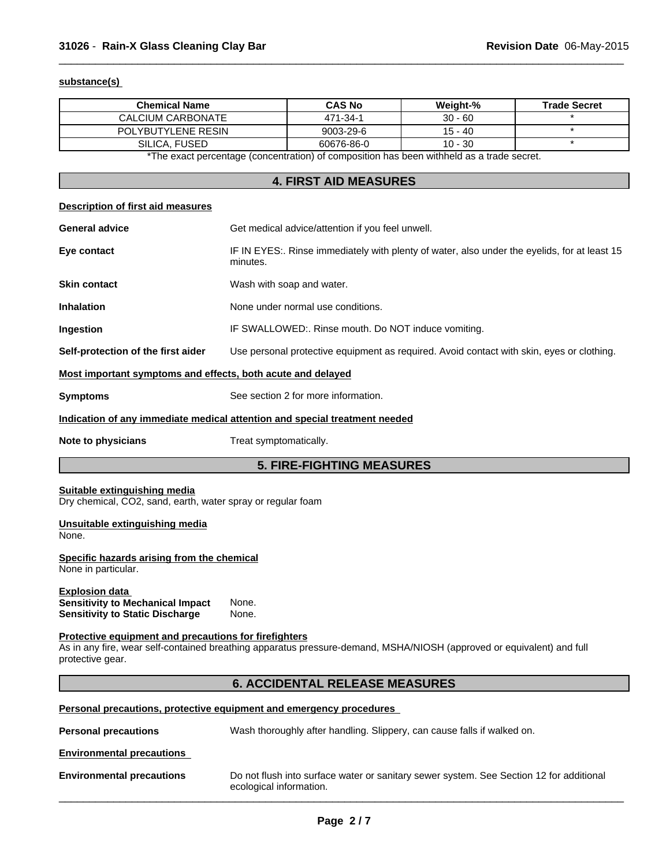## **substance(s)**

| <b>Chemical Name</b>                                                                                                                                                                               |                         | <b>CAS No</b>                                                                                | Weight-%  | <b>Trade Secret</b> |  |
|----------------------------------------------------------------------------------------------------------------------------------------------------------------------------------------------------|-------------------------|----------------------------------------------------------------------------------------------|-----------|---------------------|--|
| <b>CALCIUM CARBONATE</b>                                                                                                                                                                           |                         | 471-34-1                                                                                     | $30 - 60$ |                     |  |
| POLYBUTYLENE RESIN                                                                                                                                                                                 |                         | 9003-29-6                                                                                    | $15 - 40$ | $\star$             |  |
| SILICA, FUSED                                                                                                                                                                                      |                         | 60676-86-0                                                                                   | $10 - 30$ | $\star$             |  |
|                                                                                                                                                                                                    |                         | *The exact percentage (concentration) of composition has been withheld as a trade secret.    |           |                     |  |
|                                                                                                                                                                                                    |                         | <b>4. FIRST AID MEASURES</b>                                                                 |           |                     |  |
| <b>Description of first aid measures</b>                                                                                                                                                           |                         |                                                                                              |           |                     |  |
| <b>General advice</b>                                                                                                                                                                              |                         | Get medical advice/attention if you feel unwell.                                             |           |                     |  |
| Eye contact                                                                                                                                                                                        | minutes.                | IF IN EYES:. Rinse immediately with plenty of water, also under the eyelids, for at least 15 |           |                     |  |
| <b>Skin contact</b>                                                                                                                                                                                |                         | Wash with soap and water.                                                                    |           |                     |  |
| <b>Inhalation</b>                                                                                                                                                                                  |                         | None under normal use conditions.                                                            |           |                     |  |
| Ingestion                                                                                                                                                                                          |                         | IF SWALLOWED:. Rinse mouth. Do NOT induce vomiting.                                          |           |                     |  |
| Self-protection of the first aider                                                                                                                                                                 |                         | Use personal protective equipment as required. Avoid contact with skin, eyes or clothing.    |           |                     |  |
| Most important symptoms and effects, both acute and delayed                                                                                                                                        |                         |                                                                                              |           |                     |  |
| <b>Symptoms</b>                                                                                                                                                                                    |                         | See section 2 for more information.                                                          |           |                     |  |
| Indication of any immediate medical attention and special treatment needed                                                                                                                         |                         |                                                                                              |           |                     |  |
| Note to physicians                                                                                                                                                                                 | Treat symptomatically.  |                                                                                              |           |                     |  |
|                                                                                                                                                                                                    |                         | <b>5. FIRE-FIGHTING MEASURES</b>                                                             |           |                     |  |
| Suitable extinguishing media<br>Dry chemical, CO2, sand, earth, water spray or regular foam                                                                                                        |                         |                                                                                              |           |                     |  |
| Unsuitable extinguishing media<br>None.                                                                                                                                                            |                         |                                                                                              |           |                     |  |
| Specific hazards arising from the chemical<br>None in particular.                                                                                                                                  |                         |                                                                                              |           |                     |  |
| <b>Explosion data</b><br><b>Sensitivity to Mechanical Impact</b><br><b>Sensitivity to Static Discharge</b>                                                                                         | None.<br>None.          |                                                                                              |           |                     |  |
| Protective equipment and precautions for firefighters<br>As in any fire, wear self-contained breathing apparatus pressure-demand, MSHA/NIOSH (approved or equivalent) and full<br>protective gear. |                         |                                                                                              |           |                     |  |
|                                                                                                                                                                                                    |                         | <b>6. ACCIDENTAL RELEASE MEASURES</b>                                                        |           |                     |  |
| Personal precautions, protective equipment and emergency procedures                                                                                                                                |                         |                                                                                              |           |                     |  |
| <b>Personal precautions</b>                                                                                                                                                                        |                         | Wash thoroughly after handling. Slippery, can cause falls if walked on.                      |           |                     |  |
| <b>Environmental precautions</b>                                                                                                                                                                   |                         |                                                                                              |           |                     |  |
| <b>Environmental precautions</b>                                                                                                                                                                   | ecological information. | Do not flush into surface water or sanitary sewer system. See Section 12 for additional      |           |                     |  |
|                                                                                                                                                                                                    |                         |                                                                                              |           |                     |  |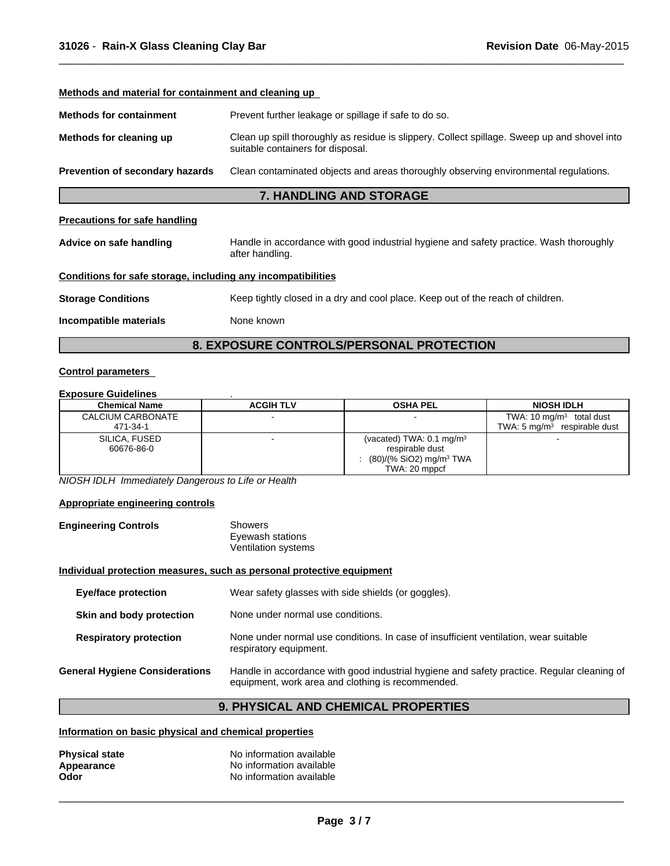## **Methods and material for containment and cleaning up Methods for containment** Prevent further leakage or spillage if safe to do so. **Methods for cleaning up** Clean up spill thoroughly as residue is slippery. Collect spillage. Sweep up and shovel into suitable containers for disposal. **Prevention of secondary hazards** Clean contaminated objects and areas thoroughly observing environmental regulations. **7. HANDLING AND STORAGE Precautions for safe handling Advice on safe handling** Handle in accordance with good industrial hygiene and safety practice. Wash thoroughly after handling.

 $\overline{\phantom{a}}$  ,  $\overline{\phantom{a}}$  ,  $\overline{\phantom{a}}$  ,  $\overline{\phantom{a}}$  ,  $\overline{\phantom{a}}$  ,  $\overline{\phantom{a}}$  ,  $\overline{\phantom{a}}$  ,  $\overline{\phantom{a}}$  ,  $\overline{\phantom{a}}$  ,  $\overline{\phantom{a}}$  ,  $\overline{\phantom{a}}$  ,  $\overline{\phantom{a}}$  ,  $\overline{\phantom{a}}$  ,  $\overline{\phantom{a}}$  ,  $\overline{\phantom{a}}$  ,  $\overline{\phantom{a}}$ 

## **Conditions for safe storage, including any incompatibilities**

**Storage Conditions** Keep tightly closed in a dry and cool place. Keep out of the reach of children.

**Incompatible materials** None known

## **8. EXPOSURE CONTROLS/PERSONAL PROTECTION**

## **Control parameters**

## **Exposure Guidelines** .

| <b>Chemical Name</b> | <b>ACGIH TLV</b> | <b>OSHA PEL</b>                     | <b>NIOSH IDLH</b>                       |
|----------------------|------------------|-------------------------------------|-----------------------------------------|
| CALCIUM CARBONATE    |                  |                                     | TWA: $10 \text{ mg/m}^3$ total dust     |
| 471-34-1             |                  |                                     | TWA: $5 \text{ ma/m}^3$ respirable dust |
| SILICA, FUSED        |                  | (vacated) TWA: $0.1 \text{ mg/m}^3$ |                                         |
| 60676-86-0           |                  | respirable dust                     |                                         |
|                      |                  | (80)/(% SiO2) mg/m <sup>3</sup> TWA |                                         |
|                      |                  | TWA: 20 mppcf                       |                                         |

*NIOSH IDLH Immediately Dangerous to Life or Health*

#### **Appropriate engineering controls**

| <b>Engineering Controls</b> | Showers             |  |
|-----------------------------|---------------------|--|
|                             | Eyewash stations    |  |
|                             | Ventilation systems |  |

#### **Individual protection measures, such as personal protective equipment**

| <b>Eye/face protection</b>            | Wear safety glasses with side shields (or goggles).                                                                                             |
|---------------------------------------|-------------------------------------------------------------------------------------------------------------------------------------------------|
| Skin and body protection              | None under normal use conditions.                                                                                                               |
| <b>Respiratory protection</b>         | None under normal use conditions. In case of insufficient ventilation, wear suitable<br>respiratory equipment.                                  |
| <b>General Hygiene Considerations</b> | Handle in accordance with good industrial hygiene and safety practice. Regular cleaning of<br>equipment, work area and clothing is recommended. |

## **9. PHYSICAL AND CHEMICAL PROPERTIES**

## **Information on basic physical and chemical properties**

| <b>Physical state</b> | No information available |
|-----------------------|--------------------------|
| Appearance            | No information available |
| Odor                  | No information available |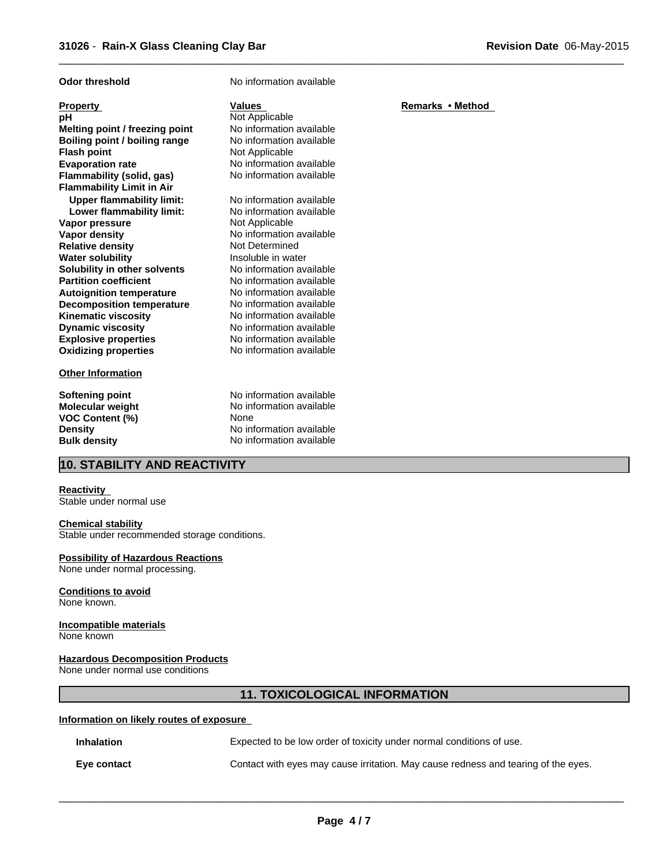| <b>Odor threshold</b>            | No information available |                  |
|----------------------------------|--------------------------|------------------|
| <b>Property</b>                  | <b>Values</b>            | Remarks • Method |
| рH                               | Not Applicable           |                  |
| Melting point / freezing point   | No information available |                  |
| Boiling point / boiling range    | No information available |                  |
| <b>Flash point</b>               | Not Applicable           |                  |
| <b>Evaporation rate</b>          | No information available |                  |
| Flammability (solid, gas)        | No information available |                  |
| <b>Flammability Limit in Air</b> |                          |                  |
| <b>Upper flammability limit:</b> | No information available |                  |
| Lower flammability limit:        | No information available |                  |
| Vapor pressure                   | Not Applicable           |                  |
| <b>Vapor density</b>             | No information available |                  |
| <b>Relative density</b>          | Not Determined           |                  |
| <b>Water solubility</b>          | Insoluble in water       |                  |
| Solubility in other solvents     | No information available |                  |
| <b>Partition coefficient</b>     | No information available |                  |
| <b>Autoignition temperature</b>  | No information available |                  |
| <b>Decomposition temperature</b> | No information available |                  |
| <b>Kinematic viscosity</b>       | No information available |                  |
| <b>Dynamic viscosity</b>         | No information available |                  |
| <b>Explosive properties</b>      | No information available |                  |
| <b>Oxidizing properties</b>      | No information available |                  |
| <b>Other Information</b>         |                          |                  |
| <b>Softening point</b>           | No information available |                  |
| Molecular weight                 | No information available |                  |
| VOC Content (%)                  | None                     |                  |
| <b>Density</b>                   | No information available |                  |
| <b>Bulk density</b>              | No information available |                  |
|                                  |                          |                  |

 $\overline{\phantom{a}}$  ,  $\overline{\phantom{a}}$  ,  $\overline{\phantom{a}}$  ,  $\overline{\phantom{a}}$  ,  $\overline{\phantom{a}}$  ,  $\overline{\phantom{a}}$  ,  $\overline{\phantom{a}}$  ,  $\overline{\phantom{a}}$  ,  $\overline{\phantom{a}}$  ,  $\overline{\phantom{a}}$  ,  $\overline{\phantom{a}}$  ,  $\overline{\phantom{a}}$  ,  $\overline{\phantom{a}}$  ,  $\overline{\phantom{a}}$  ,  $\overline{\phantom{a}}$  ,  $\overline{\phantom{a}}$ 

## **10. STABILITY AND REACTIVITY**

#### **Reactivity**

Stable under normal use

## **Chemical stability**

Stable under recommended storage conditions.

### **Possibility of Hazardous Reactions**

None under normal processing.

## **Conditions to avoid**

None known.

#### **Incompatible materials** None known

## **Hazardous Decomposition Products**

None under normal use conditions

## **11. TOXICOLOGICAL INFORMATION**

## **Information on likely routes of exposure**

| <b>Inhalation</b> | Expected to be low order of toxicity under normal conditions of use.               |
|-------------------|------------------------------------------------------------------------------------|
| Eve contact       | Contact with eyes may cause irritation. May cause redness and tearing of the eyes. |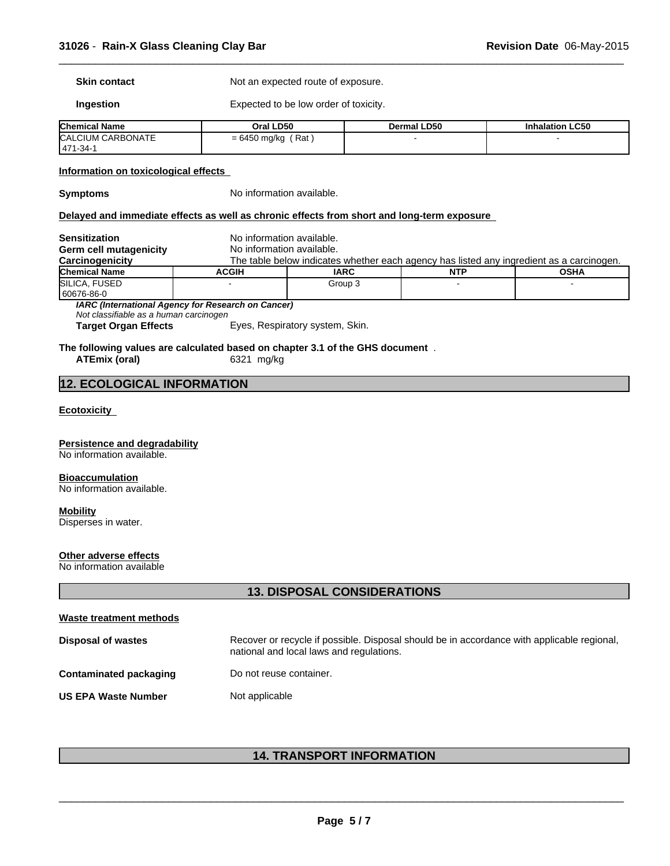**Skin contact** Not an expected route of exposure.

**Ingestion** Expected to be low order of toxicity.

| <b>Chemical Name</b>          | Oral LD50               | <b>Dermal LD50</b> | <b>Inhalation LC50</b> |
|-------------------------------|-------------------------|--------------------|------------------------|
| CALCIUM CARBONATE<br>471-34-1 | ' Rat .<br>= 6450 mg/kg |                    |                        |

 $\overline{\phantom{a}}$  ,  $\overline{\phantom{a}}$  ,  $\overline{\phantom{a}}$  ,  $\overline{\phantom{a}}$  ,  $\overline{\phantom{a}}$  ,  $\overline{\phantom{a}}$  ,  $\overline{\phantom{a}}$  ,  $\overline{\phantom{a}}$  ,  $\overline{\phantom{a}}$  ,  $\overline{\phantom{a}}$  ,  $\overline{\phantom{a}}$  ,  $\overline{\phantom{a}}$  ,  $\overline{\phantom{a}}$  ,  $\overline{\phantom{a}}$  ,  $\overline{\phantom{a}}$  ,  $\overline{\phantom{a}}$ 

### **Information on toxicological effects**

**Symptoms** No information available.

## **Delayed and immediate effects as well as chronic effects from short and long-term exposure**

**Sensitization** No information available. **Germ cell mutagenicity** No information available. **Carcinogenicity** The table below indicates whether each agency has listed any ingredient as a carcinogen. **Chemical Name ACGIH IARC NTP OSHA** SILICA, FUSED **FUSED**  60676-86-0 - Group 3 - - *IARC (International Agency for Research on Cancer) Not classifiable as a human carcinogen* **Target Organ Effects** Eyes, Respiratory system, Skin.

## **The following values are calculated based on chapter 3.1 of the GHS document** .

**ATEmix (oral)** 6321 mg/kg

## **12. ECOLOGICAL INFORMATION**

## **Ecotoxicity**

#### **Persistence and degradability**

No information available.

#### **Bioaccumulation**

No information available.

## **Mobility**

Disperses in water.

## **Other adverse effects**

No information available

## **13. DISPOSAL CONSIDERATIONS**

| Waste treatment methods    |                                                                                                                                        |
|----------------------------|----------------------------------------------------------------------------------------------------------------------------------------|
| Disposal of wastes         | Recover or recycle if possible. Disposal should be in accordance with applicable regional,<br>national and local laws and regulations. |
| Contaminated packaging     | Do not reuse container.                                                                                                                |
| <b>US EPA Waste Number</b> | Not applicable                                                                                                                         |

## **14. TRANSPORT INFORMATION**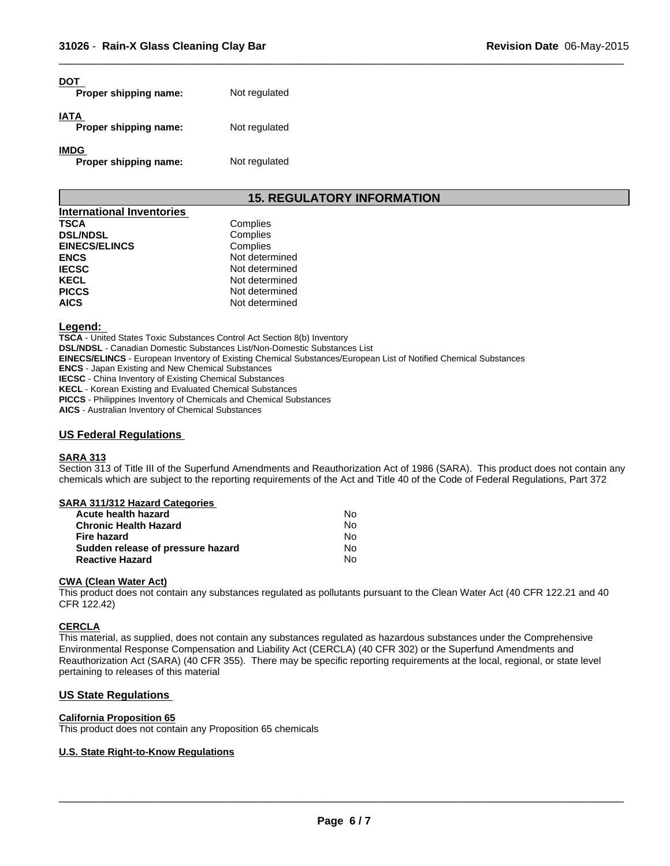| DOT<br>Proper shipping name:         | Not regulated |
|--------------------------------------|---------------|
| IATA<br>Proper shipping name:        | Not regulated |
| <b>IMDG</b><br>Proper shipping name: | Not regulated |

## **15. REGULATORY INFORMATION**

 $\overline{\phantom{a}}$  ,  $\overline{\phantom{a}}$  ,  $\overline{\phantom{a}}$  ,  $\overline{\phantom{a}}$  ,  $\overline{\phantom{a}}$  ,  $\overline{\phantom{a}}$  ,  $\overline{\phantom{a}}$  ,  $\overline{\phantom{a}}$  ,  $\overline{\phantom{a}}$  ,  $\overline{\phantom{a}}$  ,  $\overline{\phantom{a}}$  ,  $\overline{\phantom{a}}$  ,  $\overline{\phantom{a}}$  ,  $\overline{\phantom{a}}$  ,  $\overline{\phantom{a}}$  ,  $\overline{\phantom{a}}$ 

| International Inventories |                |
|---------------------------|----------------|
| <b>TSCA</b>               | Complies       |
| <b>DSL/NDSL</b>           | Complies       |
| <b>EINECS/ELINCS</b>      | Complies       |
| <b>ENCS</b>               | Not determined |
| <b>IECSC</b>              | Not determined |
| <b>KECL</b>               | Not determined |
| <b>PICCS</b>              | Not determined |
| <b>AICS</b>               | Not determined |

#### **Legend:**

**TSCA** - United States Toxic Substances Control Act Section 8(b) Inventory

**DSL/NDSL** - Canadian Domestic Substances List/Non-Domestic Substances List

**EINECS/ELINCS** - European Inventory of Existing Chemical Substances/European List of Notified Chemical Substances

**ENCS** - Japan Existing and New Chemical Substances

**IECSC** - China Inventory of Existing Chemical Substances

**KECL** - Korean Existing and Evaluated Chemical Substances

**PICCS** - Philippines Inventory of Chemicals and Chemical Substances

**AICS** - Australian Inventory of Chemical Substances

## **US Federal Regulations**

## **SARA 313**

Section 313 of Title III of the Superfund Amendments and Reauthorization Act of 1986 (SARA). This product does not contain any chemicals which are subject to the reporting requirements of the Act and Title 40 of the Code of Federal Regulations, Part 372

## **SARA 311/312 Hazard Categories**

| Acute health hazard               | No. |
|-----------------------------------|-----|
| <b>Chronic Health Hazard</b>      | No. |
| Fire hazard                       | N٥  |
| Sudden release of pressure hazard | No. |
| <b>Reactive Hazard</b>            | N٥  |

#### **CWA (Clean Water Act)**

This product does not contain any substances regulated as pollutants pursuant to the Clean Water Act (40 CFR 122.21 and 40 CFR 122.42)

#### **CERCLA**

This material, as supplied, does not contain any substances regulated as hazardous substances under the Comprehensive Environmental Response Compensation and Liability Act (CERCLA) (40 CFR 302) or the Superfund Amendments and Reauthorization Act (SARA) (40 CFR 355). There may be specific reporting requirements at the local, regional, or state level pertaining to releases of this material

## **US State Regulations**

#### **California Proposition 65**

This product does not contain any Proposition 65 chemicals

## **U.S. State Right-to-Know Regulations**